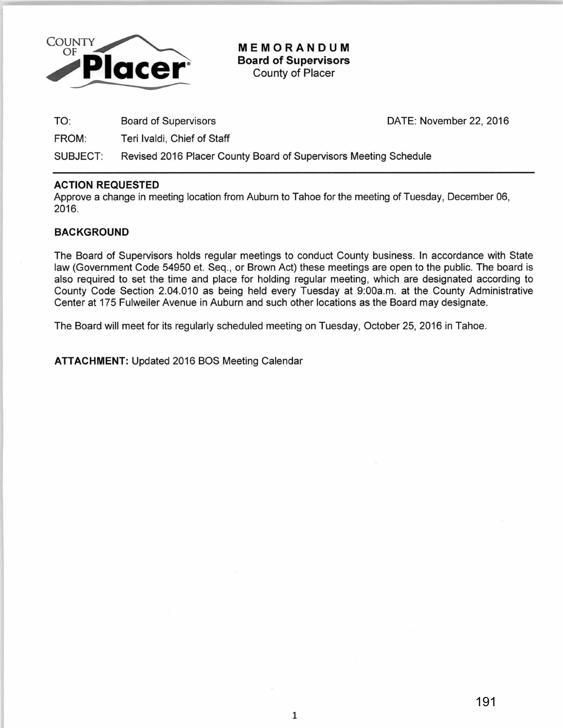

**MEMORANDUM Board of Supervisors**  County of Placer

TO: Board of Supervisors

FROM: Teri lvaldi, Chief of Staff DATE: November 22, 2016

SUBJECT: Revised 2016 Placer County Board of Supervisors Meeting Schedule

## **ACTION REQUESTED**

Approve a change in meeting location from Auburn to Tahoe for the meeting of Tuesday, December 06, 2016.

# **BACKGROUND**

The Board of Supervisors holds regular meetings to conduct County business. In accordance with State law (Government Code 54950 et. Seq., or Brown Act) these meetings are open to the public. The board is also required to set the time and place for holding regular meeting, which are designated according to County Code Section 2.04.010 as being held every Tuesday at 9:00a.m. at the County Administrative Center at 175 Fulweiler Avenue in Auburn and such other locations as the Board may designate.

The Board will meet for its regularly scheduled meeting on Tuesday, October 25, 2016 in Tahoe.

**ATTACHMENT:** Updated 2016 BOS Meeting Calendar